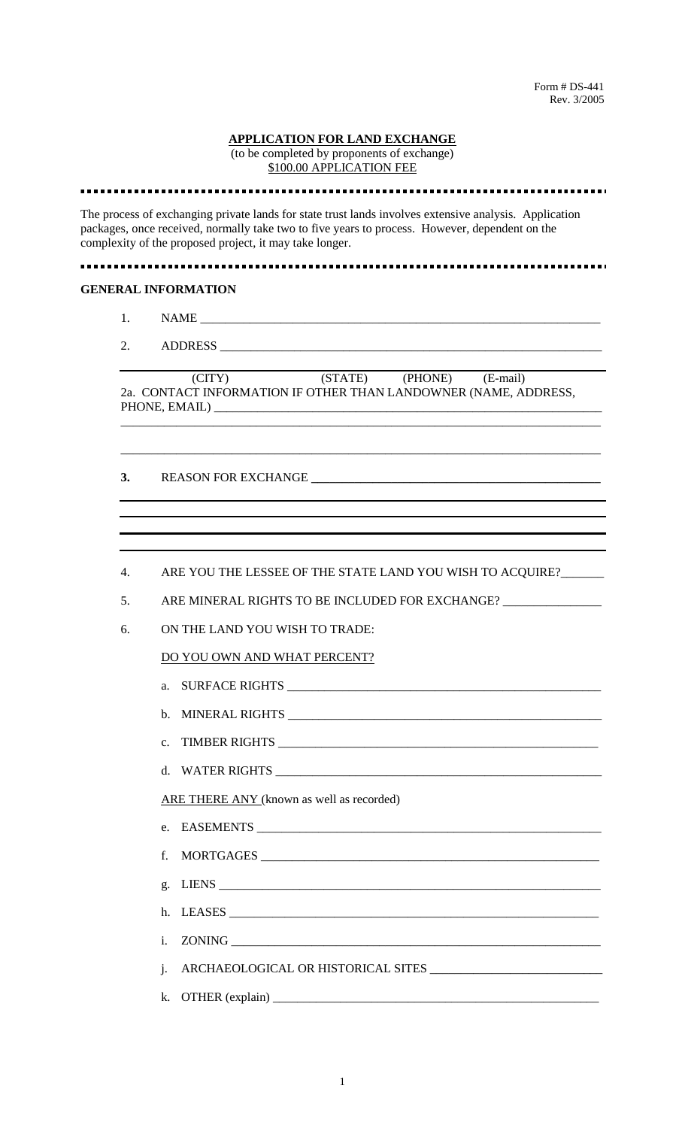#### **APPLICATION FOR LAND EXCHANGE**

(to be completed by proponents of exchange) \$100.00 APPLICATION FEE

The process of exchanging private lands for state trust lands involves extensive analysis. Application packages, once received, normally take two to five years to process. However, dependent on the complexity of the proposed project, it may take longer.

### 

#### **GENERAL INFORMATION**

- 1. NAME \_\_\_\_\_\_\_\_\_\_\_\_\_\_\_\_\_\_\_\_\_\_\_\_\_\_\_\_\_\_\_\_\_\_\_\_\_\_\_\_\_\_\_\_\_\_\_\_\_\_\_\_\_\_\_\_\_\_\_\_\_\_\_\_\_
- 2. ADDRESS

|               | (CITY)                                                          | (STATE) | (PHONE) | (E-mail) |  |
|---------------|-----------------------------------------------------------------|---------|---------|----------|--|
|               | 2a. CONTACT INFORMATION IF OTHER THAN LANDOWNER (NAME, ADDRESS, |         |         |          |  |
| PHONE, EMAIL) |                                                                 |         |         |          |  |

\_\_\_\_\_\_\_\_\_\_\_\_\_\_\_\_\_\_\_\_\_\_\_\_\_\_\_\_\_\_\_\_\_\_\_\_\_\_\_\_\_\_\_\_\_\_\_\_\_\_\_\_\_\_\_\_\_\_\_\_\_\_\_\_\_\_\_\_\_\_\_\_\_\_\_\_\_\_

\_\_\_\_\_\_\_\_\_\_\_\_\_\_\_\_\_\_\_\_\_\_\_\_\_\_\_\_\_\_\_\_\_\_\_\_\_\_\_\_\_\_\_\_\_\_\_\_\_\_\_\_\_\_\_\_\_\_\_\_\_\_\_\_\_\_\_\_\_\_\_\_\_\_\_\_\_\_

- **3.** REASON FOR EXCHANGE **\_\_\_\_\_\_\_\_\_\_\_\_\_\_\_\_\_\_\_\_\_\_\_\_\_\_\_\_\_\_\_\_\_\_\_\_\_\_\_\_\_\_\_\_\_\_\_**
- 4. ARE YOU THE LESSEE OF THE STATE LAND YOU WISH TO ACQUIRE?
- 5. ARE MINERAL RIGHTS TO BE INCLUDED FOR EXCHANGE? \_\_\_\_\_\_\_\_\_\_\_\_\_\_\_\_\_\_\_\_\_\_\_\_\_\_\_\_\_
- 6. ON THE LAND YOU WISH TO TRADE:

### DO YOU OWN AND WHAT PERCENT?

- a. SURFACE RIGHTS \_\_\_\_\_\_\_\_\_\_\_\_\_\_\_\_\_\_\_\_\_\_\_\_\_\_\_\_\_\_\_\_\_\_\_\_\_\_\_\_\_\_\_\_\_\_\_\_\_\_\_
- b. MINERAL RIGHTS
- c. TIMBER RIGHTS \_\_\_\_\_\_\_\_\_\_\_\_\_\_\_\_\_\_\_\_\_\_\_\_\_\_\_\_\_\_\_\_\_\_\_\_\_\_\_\_\_\_\_\_\_\_\_\_\_\_\_\_
- d. WATER RIGHTS

ARE THERE ANY (known as well as recorded)

- e. EASEMENTS
- f. MORTGAGES
- g.  $LIENS$
- h. LEASES \_\_\_\_\_\_\_\_\_\_\_\_\_\_\_\_\_\_\_\_\_\_\_\_\_\_\_\_\_\_\_\_\_\_\_\_\_\_\_\_\_\_\_\_\_\_\_\_\_\_\_\_\_\_\_\_\_\_\_\_
- i. ZONING
- j. ARCHAEOLOGICAL OR HISTORICAL SITES \_\_\_\_\_\_\_\_\_\_\_\_\_\_\_\_\_\_\_\_\_\_\_\_\_\_\_\_
- k. OTHER  $(explain)$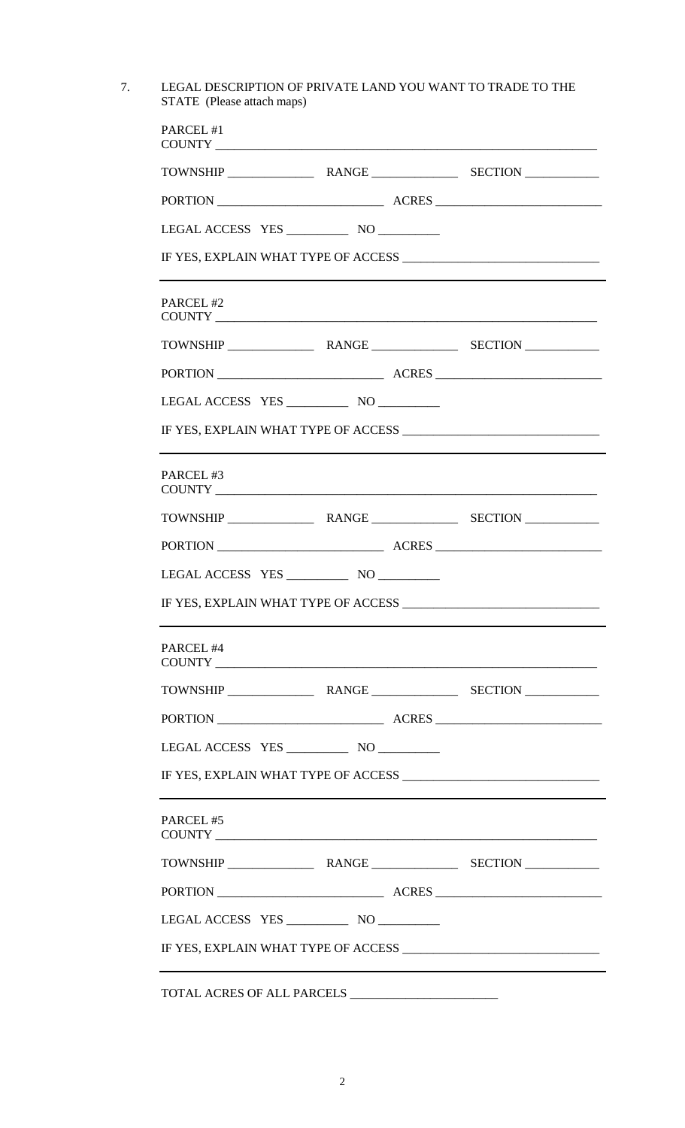7. LEGAL DESCRIPTION OF PRIVATE LAND YOU WANT TO TRADE TO THE STATE (Please attach maps)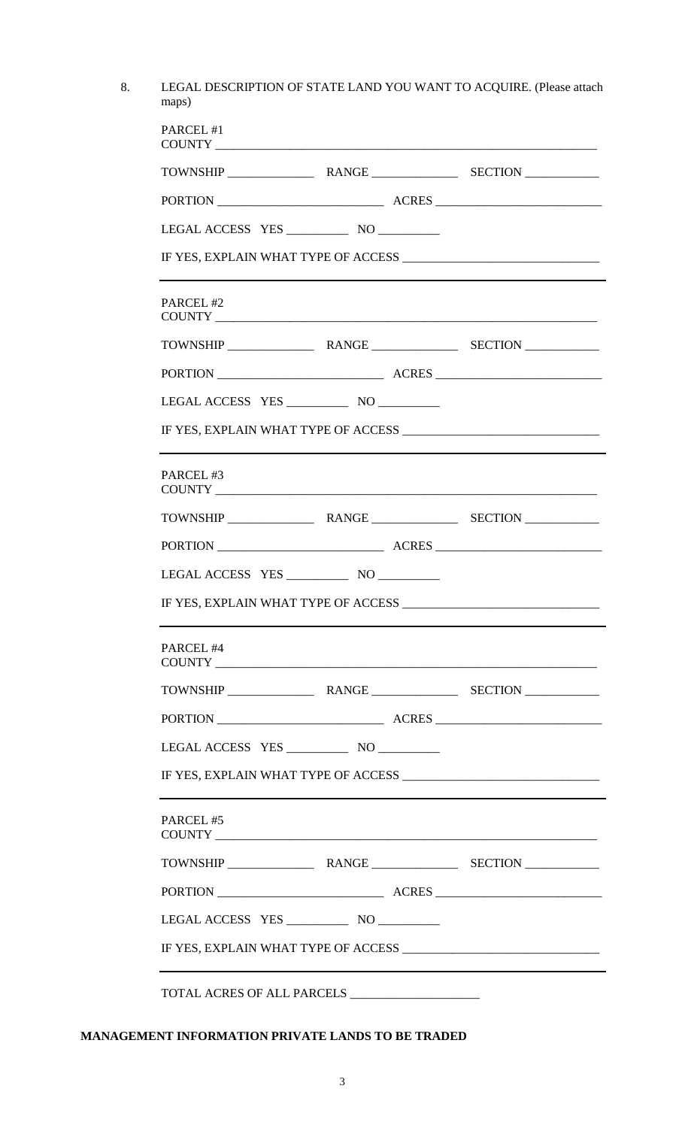8. LEGAL DESCRIPTION OF STATE LAND YOU WANT TO ACQUIRE. (Please attach maps)

| PARCEL #1 |  |                                              |  |  |
|-----------|--|----------------------------------------------|--|--|
|           |  |                                              |  |  |
|           |  |                                              |  |  |
|           |  |                                              |  |  |
|           |  |                                              |  |  |
| PARCEL #2 |  |                                              |  |  |
|           |  |                                              |  |  |
|           |  |                                              |  |  |
|           |  |                                              |  |  |
|           |  |                                              |  |  |
| PARCEL#3  |  |                                              |  |  |
|           |  |                                              |  |  |
|           |  |                                              |  |  |
|           |  |                                              |  |  |
|           |  |                                              |  |  |
| PARCEL#4  |  |                                              |  |  |
|           |  |                                              |  |  |
|           |  |                                              |  |  |
|           |  |                                              |  |  |
|           |  | <u> 1989 - Jan Salaman Salaman (j. 1989)</u> |  |  |
| PARCEL#5  |  |                                              |  |  |
|           |  |                                              |  |  |
|           |  |                                              |  |  |
|           |  |                                              |  |  |
|           |  |                                              |  |  |
|           |  |                                              |  |  |

# **MANAGEMENT INFORMATION PRIVATE LANDS TO BE TRADED**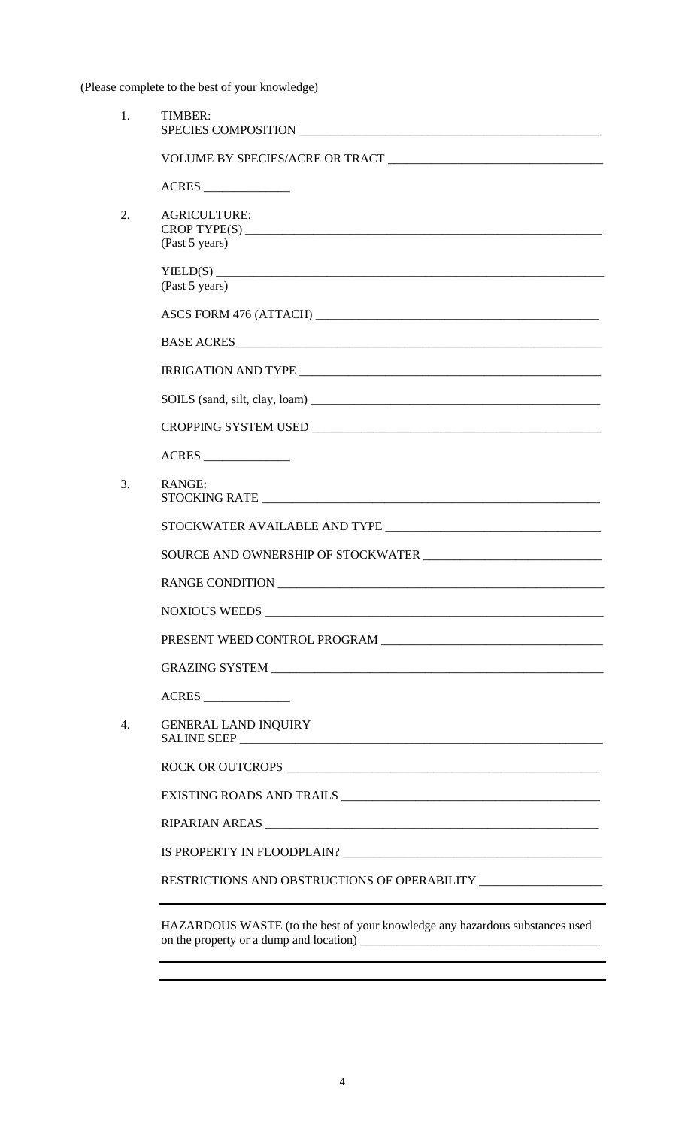(Please complete to the best of your knowledge)

| $\mathbf{1}$ . | TIMBER:                                                                          |  |
|----------------|----------------------------------------------------------------------------------|--|
|                |                                                                                  |  |
|                | ACRES                                                                            |  |
| 2.             | <b>AGRICULTURE:</b><br>(Past 5 years)                                            |  |
|                |                                                                                  |  |
|                | (Past 5 years)                                                                   |  |
|                |                                                                                  |  |
|                | BASE ACRES                                                                       |  |
|                |                                                                                  |  |
|                |                                                                                  |  |
|                |                                                                                  |  |
|                |                                                                                  |  |
| 3.             | RANGE:                                                                           |  |
|                |                                                                                  |  |
|                |                                                                                  |  |
|                |                                                                                  |  |
|                | NOXIOUS WEEDS                                                                    |  |
|                |                                                                                  |  |
|                |                                                                                  |  |
|                | ACRES                                                                            |  |
| 4.             | <b>GENERAL LAND INQUIRY</b>                                                      |  |
|                |                                                                                  |  |
|                |                                                                                  |  |
|                |                                                                                  |  |
|                |                                                                                  |  |
|                | RESTRICTIONS AND OBSTRUCTIONS OF OPERABILITY ___________________________________ |  |
|                |                                                                                  |  |

HAZARDOUS WASTE (to the best of your knowledge any hazardous substances used on the property or a dump and location) \_\_\_\_\_\_\_\_\_\_\_\_\_\_\_\_\_\_\_\_\_\_\_\_\_\_\_\_\_\_\_\_\_\_\_\_\_\_\_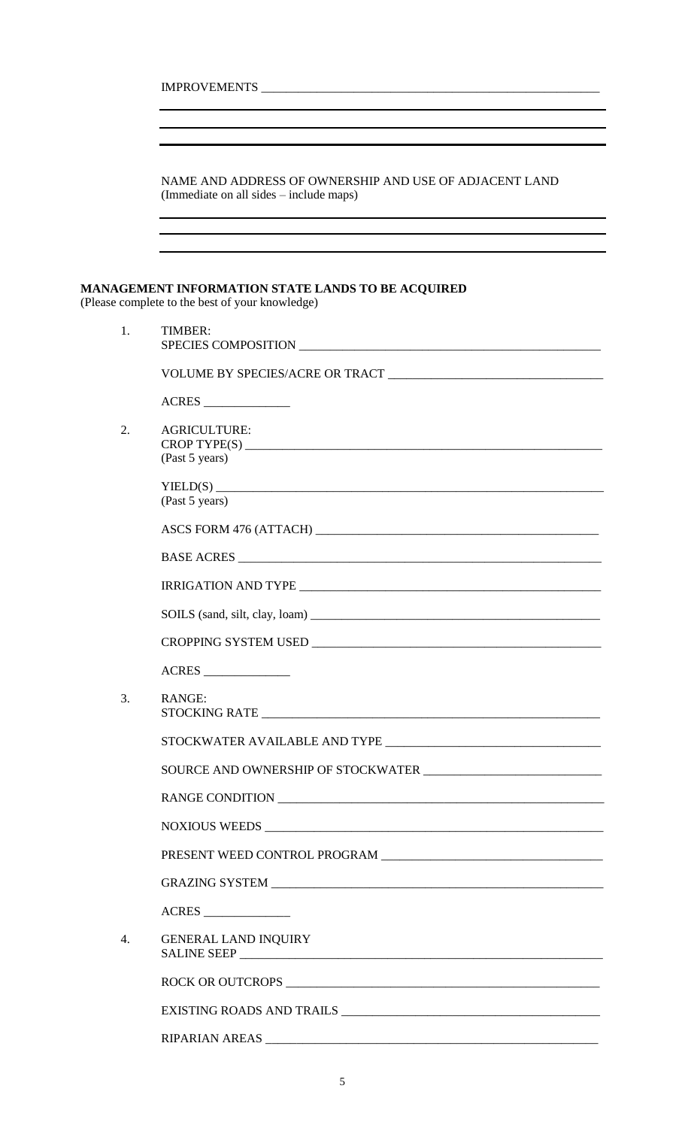|                  | IMPROVEMENTS CONTRACTED AND RESERVE TO A SERIES AND THE SERIES OF THE SERIES OF THE SERIES OF THE SERIES OF THE SERIES OF THE SERIES OF THE SERIES OF THE SERIES OF THE SERIES OF THE SERIES OF THE SERIES OF THE SERIES OF TH |  |
|------------------|--------------------------------------------------------------------------------------------------------------------------------------------------------------------------------------------------------------------------------|--|
|                  |                                                                                                                                                                                                                                |  |
|                  |                                                                                                                                                                                                                                |  |
|                  | NAME AND ADDRESS OF OWNERSHIP AND USE OF ADJACENT LAND<br>(Immediate on all sides – include maps)                                                                                                                              |  |
|                  |                                                                                                                                                                                                                                |  |
|                  | <b>MANAGEMENT INFORMATION STATE LANDS TO BE ACQUIRED</b><br>(Please complete to the best of your knowledge)                                                                                                                    |  |
| 1.               | TIMBER:<br>SPECIES COMPOSITION                                                                                                                                                                                                 |  |
|                  |                                                                                                                                                                                                                                |  |
|                  |                                                                                                                                                                                                                                |  |
| 2.               | <b>AGRICULTURE:</b>                                                                                                                                                                                                            |  |
|                  | (Past 5 years)                                                                                                                                                                                                                 |  |
|                  | (Past 5 years)                                                                                                                                                                                                                 |  |
|                  |                                                                                                                                                                                                                                |  |
|                  |                                                                                                                                                                                                                                |  |
|                  |                                                                                                                                                                                                                                |  |
|                  |                                                                                                                                                                                                                                |  |
|                  |                                                                                                                                                                                                                                |  |
|                  | ACRES                                                                                                                                                                                                                          |  |
| 3.               | <b>RANGE:</b>                                                                                                                                                                                                                  |  |
|                  |                                                                                                                                                                                                                                |  |
|                  |                                                                                                                                                                                                                                |  |
|                  |                                                                                                                                                                                                                                |  |
|                  |                                                                                                                                                                                                                                |  |
|                  |                                                                                                                                                                                                                                |  |
|                  |                                                                                                                                                                                                                                |  |
|                  | ACRES                                                                                                                                                                                                                          |  |
| $\overline{4}$ . | <b>GENERAL LAND INQUIRY</b>                                                                                                                                                                                                    |  |
|                  |                                                                                                                                                                                                                                |  |
|                  |                                                                                                                                                                                                                                |  |
|                  |                                                                                                                                                                                                                                |  |